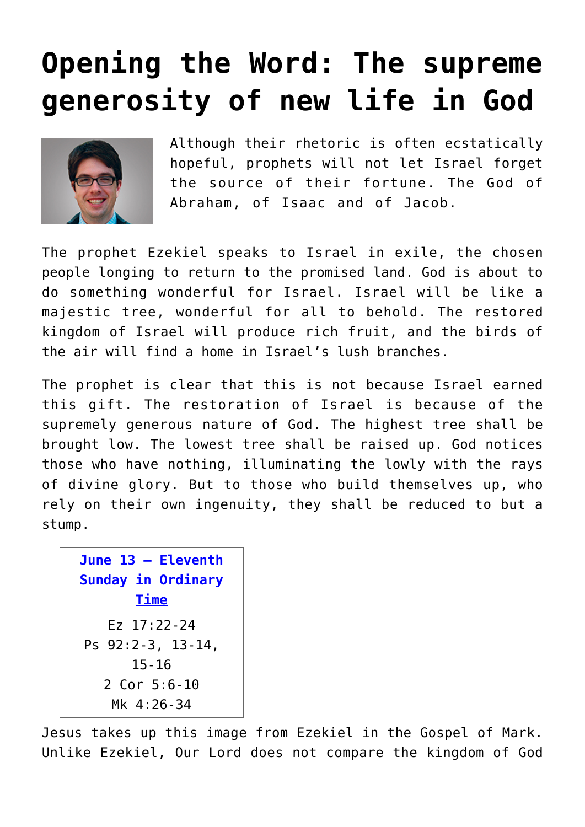## **[Opening the Word: The supreme](https://www.osvnews.com/2021/06/07/opening-the-word-the-supreme-generosity-of-new-life-in-god/) [generosity of new life in God](https://www.osvnews.com/2021/06/07/opening-the-word-the-supreme-generosity-of-new-life-in-god/)**



Although their rhetoric is often ecstatically hopeful, prophets will not let Israel forget the source of their fortune. The God of Abraham, of Isaac and of Jacob.

The prophet Ezekiel speaks to Israel in exile, the chosen people longing to return to the promised land. God is about to do something wonderful for Israel. Israel will be like a majestic tree, wonderful for all to behold. The restored kingdom of Israel will produce rich fruit, and the birds of the air will find a home in Israel's lush branches.

The prophet is clear that this is not because Israel earned this gift. The restoration of Israel is because of the supremely generous nature of God. The highest tree shall be brought low. The lowest tree shall be raised up. God notices those who have nothing, illuminating the lowly with the rays of divine glory. But to those who build themselves up, who rely on their own ingenuity, they shall be reduced to but a stump.

| June 13 - Eleventh<br>Sunday in Ordinary<br><b>Time</b> |
|---------------------------------------------------------|
| Fz 17:22-24<br>Ps 92:2-3, 13-14,                        |
| $15 - 16$                                               |
| 2 Cor $5:6-10$                                          |
| Mk 4:26-34                                              |

Jesus takes up this image from Ezekiel in the Gospel of Mark. Unlike Ezekiel, Our Lord does not compare the kingdom of God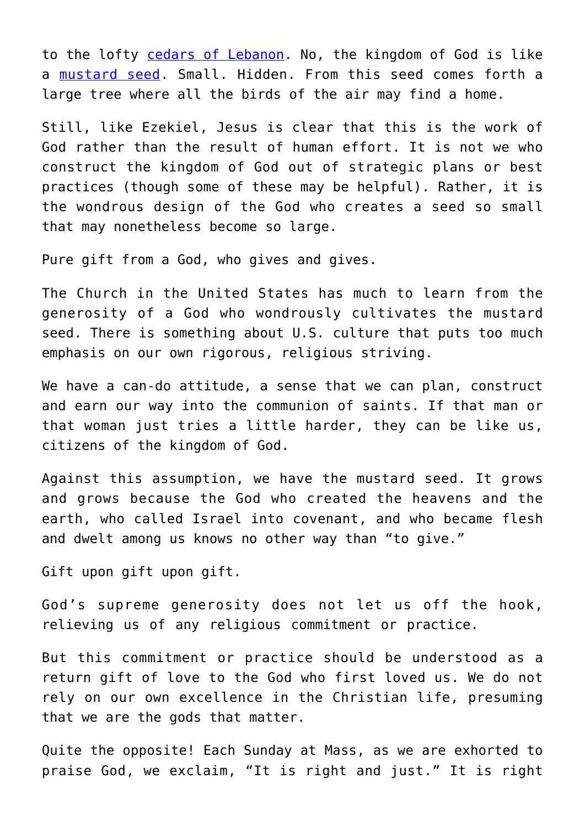to the lofty [cedars of Lebanon](https://www.osvnews.com/2020/09/04/visiting-lebanon-cardinal-parolin-emphasizes-you-are-not-alone/). No, the kingdom of God is like a [mustard seed](https://www.osvnews.com/2020/07/03/knowing-christ-through-matthew-part-7-the-parables-of-jesus/). Small. Hidden. From this seed comes forth a large tree where all the birds of the air may find a home.

Still, like Ezekiel, Jesus is clear that this is the work of God rather than the result of human effort. It is not we who construct the kingdom of God out of strategic plans or best practices (though some of these may be helpful). Rather, it is the wondrous design of the God who creates a seed so small that may nonetheless become so large.

Pure gift from a God, who gives and gives.

The Church in the United States has much to learn from the generosity of a God who wondrously cultivates the mustard seed. There is something about U.S. culture that puts too much emphasis on our own rigorous, religious striving.

We have a can-do attitude, a sense that we can plan, construct and earn our way into the communion of saints. If that man or that woman just tries a little harder, they can be like us, citizens of the kingdom of God.

Against this assumption, we have the mustard seed. It grows and grows because the God who created the heavens and the earth, who called Israel into covenant, and who became flesh and dwelt among us knows no other way than "to give."

Gift upon gift upon gift.

God's supreme generosity does not let us off the hook, relieving us of any religious commitment or practice.

But this commitment or practice should be understood as a return gift of love to the God who first loved us. We do not rely on our own excellence in the Christian life, presuming that we are the gods that matter.

Quite the opposite! Each Sunday at Mass, as we are exhorted to praise God, we exclaim, "It is right and just." It is right